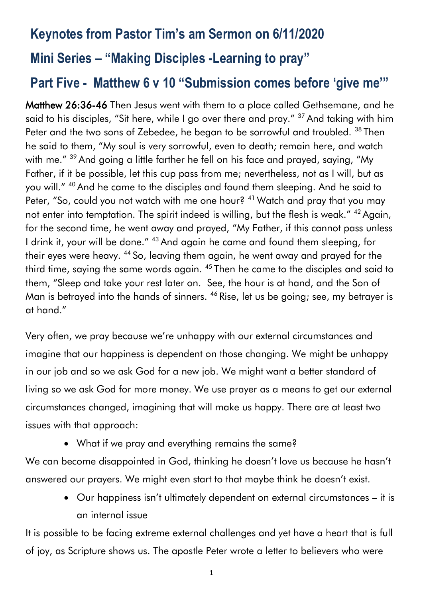# **Keynotes from Pastor Tim's am Sermon on 6/11/2020 Mini Series – "Making Disciples -Learning to pray"**

# **Part Five - Matthew 6 v 10 "Submission comes before 'give me'"**

Matthew 26:36-46 Then Jesus went with them to a place called Gethsemane, and he said to his disciples, "Sit here, while I go over there and pray." <sup>37</sup> And taking with him Peter and the two sons of Zebedee, he began to be sorrowful and troubled. <sup>38</sup> Then he said to them, "My soul is very sorrowful, even to death; remain here, and watch with me." <sup>39</sup> And going a little farther he fell on his face and prayed, saying, "My Father, if it be possible, let this cup pass from me; nevertheless, not as I will, but as you will." <sup>40</sup> And he came to the disciples and found them sleeping. And he said to Peter, "So, could you not watch with me one hour? <sup>41</sup> Watch and pray that you may not enter into temptation. The spirit indeed is willing, but the flesh is weak." <sup>42</sup> Again, for the second time, he went away and prayed, "My Father, if this cannot pass unless I drink it, your will be done." <sup>43</sup> And again he came and found them sleeping, for their eyes were heavy. <sup>44</sup> So, leaving them again, he went away and prayed for the third time, saying the same words again. <sup>45</sup> Then he came to the disciples and said to them, "Sleep and take your rest later on. See, the hour is at hand, and the Son of Man is betrayed into the hands of sinners. <sup>46</sup> Rise, let us be going; see, my betrayer is at hand."

Very often, we pray because we're unhappy with our external circumstances and imagine that our happiness is dependent on those changing. We might be unhappy in our job and so we ask God for a new job. We might want a better standard of living so we ask God for more money. We use prayer as a means to get our external circumstances changed, imagining that will make us happy. There are at least two issues with that approach:

• What if we pray and everything remains the same?

We can become disappointed in God, thinking he doesn't love us because he hasn't answered our prayers. We might even start to that maybe think he doesn't exist.

• Our happiness isn't ultimately dependent on external circumstances – it is an internal issue

It is possible to be facing extreme external challenges and yet have a heart that is full of joy, as Scripture shows us. The apostle Peter wrote a letter to believers who were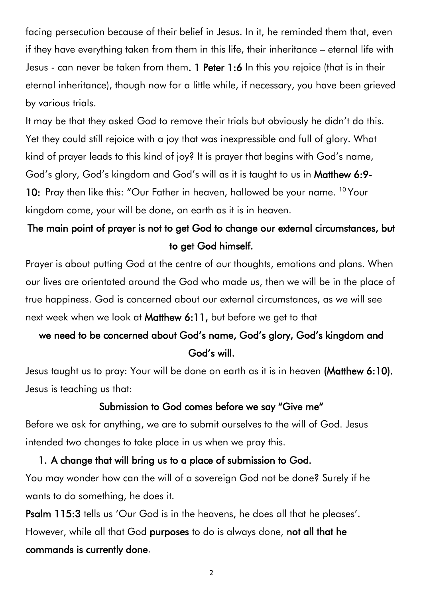facing persecution because of their belief in Jesus. In it, he reminded them that, even if they have everything taken from them in this life, their inheritance – eternal life with Jesus - can never be taken from them. 1 Peter 1:6 In this you rejoice (that is in their eternal inheritance), though now for a little while, if necessary, you have been grieved by various trials.

It may be that they asked God to remove their trials but obviously he didn't do this. Yet they could still rejoice with a joy that was inexpressible and full of glory. What kind of prayer leads to this kind of joy? It is prayer that begins with God's name, God's glory, God's kingdom and God's will as it is taught to us in Matthew 6:9- 10: Pray then like this: "Our Father in heaven, hallowed be your name. <sup>10</sup> Your kingdom come, your will be done, on earth as it is in heaven.

### The main point of prayer is not to get God to change our external circumstances, but to get God himself.

Prayer is about putting God at the centre of our thoughts, emotions and plans. When our lives are orientated around the God who made us, then we will be in the place of true happiness. God is concerned about our external circumstances, as we will see next week when we look at Matthew 6:11, but before we get to that

### we need to be concerned about God's name, God's glory, God's kingdom and God's will.

Jesus taught us to pray: Your will be done on earth as it is in heaven (Matthew 6:10). Jesus is teaching us that:

#### Submission to God comes before we say "Give me"

Before we ask for anything, we are to submit ourselves to the will of God. Jesus intended two changes to take place in us when we pray this.

# 1. A change that will bring us to a place of submission to God. You may wonder how can the will of a sovereign God not be done? Surely if he

wants to do something, he does it.

Psalm 115:3 tells us 'Our God is in the heavens, he does all that he pleases'. However, while all that God purposes to do is always done, not all that he commands is currently done.

2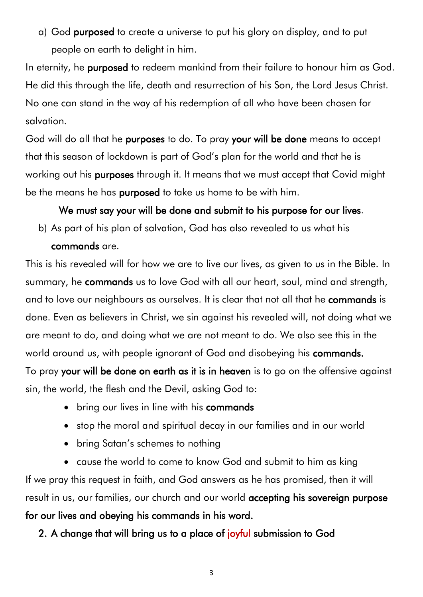a) God purposed to create a universe to put his glory on display, and to put people on earth to delight in him.

In eternity, he purposed to redeem mankind from their failure to honour him as God. He did this through the life, death and resurrection of his Son, the Lord Jesus Christ. No one can stand in the way of his redemption of all who have been chosen for salvation.

God will do all that he purposes to do. To pray your will be done means to accept that this season of lockdown is part of God's plan for the world and that he is working out his purposes through it. It means that we must accept that Covid might be the means he has purposed to take us home to be with him.

#### We must say your will be done and submit to his purpose for our lives.

b) As part of his plan of salvation, God has also revealed to us what his commands are.

This is his revealed will for how we are to live our lives, as given to us in the Bible. In summary, he **commands** us to love God with all our heart, soul, mind and strength, and to love our neighbours as ourselves. It is clear that not all that he commands is done. Even as believers in Christ, we sin against his revealed will, not doing what we are meant to do, and doing what we are not meant to do. We also see this in the world around us, with people ignorant of God and disobeying his commands. To pray your will be done on earth as it is in heaven is to go on the offensive against

sin, the world, the flesh and the Devil, asking God to:

- bring our lives in line with his **commands**
- stop the moral and spiritual decay in our families and in our world
- bring Satan's schemes to nothing
- cause the world to come to know God and submit to him as king

If we pray this request in faith, and God answers as he has promised, then it will result in us, our families, our church and our world accepting his sovereign purpose for our lives and obeying his commands in his word.

2. A change that will bring us to a place of joyful submission to God

3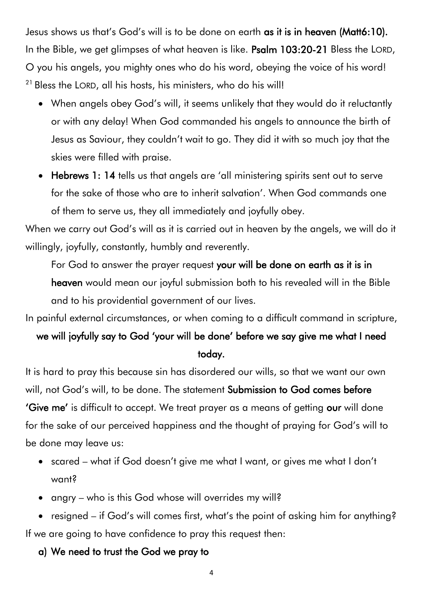Jesus shows us that's God's will is to be done on earth as it is in heaven (Matt6:10). In the Bible, we get glimpses of what heaven is like. Psalm 103:20-21 Bless the LORD, O you his angels, you mighty ones who do his word, obeying the voice of his word! <sup>21</sup> Bless the LORD, all his hosts, his ministers, who do his will!

- When angels obey God's will, it seems unlikely that they would do it reluctantly or with any delay! When God commanded his angels to announce the birth of Jesus as Saviour, they couldn't wait to go. They did it with so much joy that the skies were filled with praise.
- Hebrews 1: 14 tells us that angels are 'all ministering spirits sent out to serve for the sake of those who are to inherit salvation'. When God commands one of them to serve us, they all immediately and joyfully obey.

When we carry out God's will as it is carried out in heaven by the angels, we will do it willingly, joyfully, constantly, humbly and reverently.

For God to answer the prayer request your will be done on earth as it is in

heaven would mean our joyful submission both to his revealed will in the Bible and to his providential government of our lives.

In painful external circumstances, or when coming to a difficult command in scripture,

# we will joyfully say to God 'your will be done' before we say give me what I need today.

It is hard to pray this because sin has disordered our wills, so that we want our own will, not God's will, to be done. The statement Submission to God comes before 'Give me' is difficult to accept. We treat prayer as a means of getting our will done for the sake of our perceived happiness and the thought of praying for God's will to be done may leave us:

- scared what if God doesn't give me what I want, or gives me what I don't want?
- angry who is this God whose will overrides my will?

• resigned – if God's will comes first, what's the point of asking him for anything? If we are going to have confidence to pray this request then:

a) We need to trust the God we pray to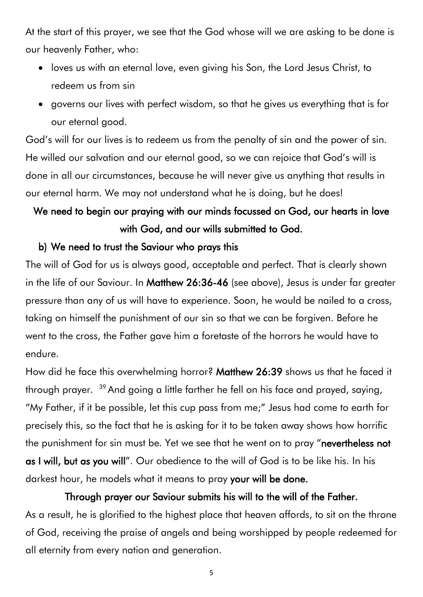At the start of this prayer, we see that the God whose will we are asking to be done is our heavenly Father, who:

- loves us with an eternal love, even giving his Son, the Lord Jesus Christ, to redeem us from sin
- governs our lives with perfect wisdom, so that he gives us everything that is for our eternal good.

God's will for our lives is to redeem us from the penalty of sin and the power of sin. He willed our salvation and our eternal good, so we can rejoice that God's will is done in all our circumstances, because he will never give us anything that results in our eternal harm. We may not understand what he is doing, but he does!

### We need to begin our praying with our minds focussed on God, our hearts in love with God, and our wills submitted to God.

#### b) We need to trust the Saviour who prays this

The will of God for us is always good, acceptable and perfect. That is clearly shown in the life of our Saviour. In Matthew 26:36-46 (see above), Jesus is under far greater pressure than any of us will have to experience. Soon, he would be nailed to a cross, taking on himself the punishment of our sin so that we can be forgiven. Before he went to the cross, the Father gave him a foretaste of the horrors he would have to endure.

How did he face this overwhelming horror? Matthew 26:39 shows us that he faced it through prayer.  $^{39}$  And going a little farther he fell on his face and prayed, saying, "My Father, if it be possible, let this cup pass from me;" Jesus had come to earth for precisely this, so the fact that he is asking for it to be taken away shows how horrific the punishment for sin must be. Yet we see that he went on to pray "nevertheless not as I will, but as you will". Our obedience to the will of God is to be like his. In his darkest hour, he models what it means to pray your will be done.

Through prayer our Saviour submits his will to the will of the Father. As a result, he is glorified to the highest place that heaven affords, to sit on the throne of God, receiving the praise of angels and being worshipped by people redeemed for all eternity from every nation and generation.